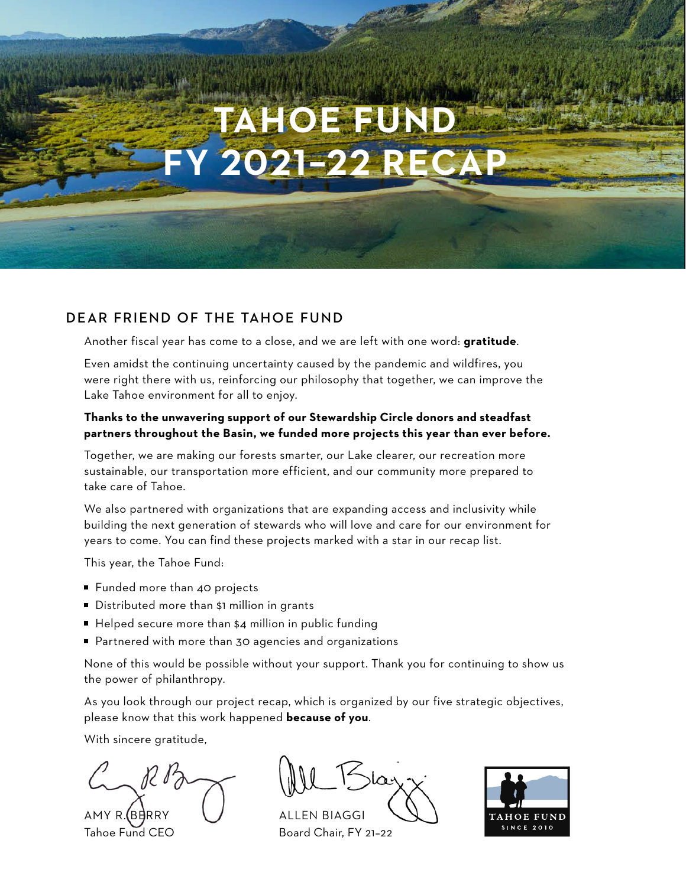# **TAHOE FUND FY 2021–22 RECAP**

# DEAR FRIEND OF THE TAHOE FUND

Another fiscal year has come to a close, and we are left with one word: **gratitude**.

Even amidst the continuing uncertainty caused by the pandemic and wildfires, you were right there with us, reinforcing our philosophy that together, we can improve the Lake Tahoe environment for all to enjoy.

## **Thanks to the unwavering support of our Stewardship Circle donors and steadfast partners throughout the Basin, we funded more projects this year than ever before.**

Together, we are making our forests smarter, our Lake clearer, our recreation more sustainable, our transportation more efficient, and our community more prepared to take care of Tahoe.

We also partnered with organizations that are expanding access and inclusivity while building the next generation of stewards who will love and care for our environment for years to come. You can find these projects marked with a star in our recap list.

This year, the Tahoe Fund:

- Funded more than 40 projects
- Distributed more than \$1 million in grants
- $\blacksquare$  Helped secure more than \$4 million in public funding
- Partnered with more than 30 agencies and organizations

None of this would be possible without your support. Thank you for continuing to show us the power of philanthropy.

As you look through our project recap, which is organized by our five strategic objectives, please know that this work happened **because of you**.

With sincere gratitude,

AMY R. (BERRY U ALLEN BIAGGI Tahoe Fund CEO Board Chair, FY 21-22

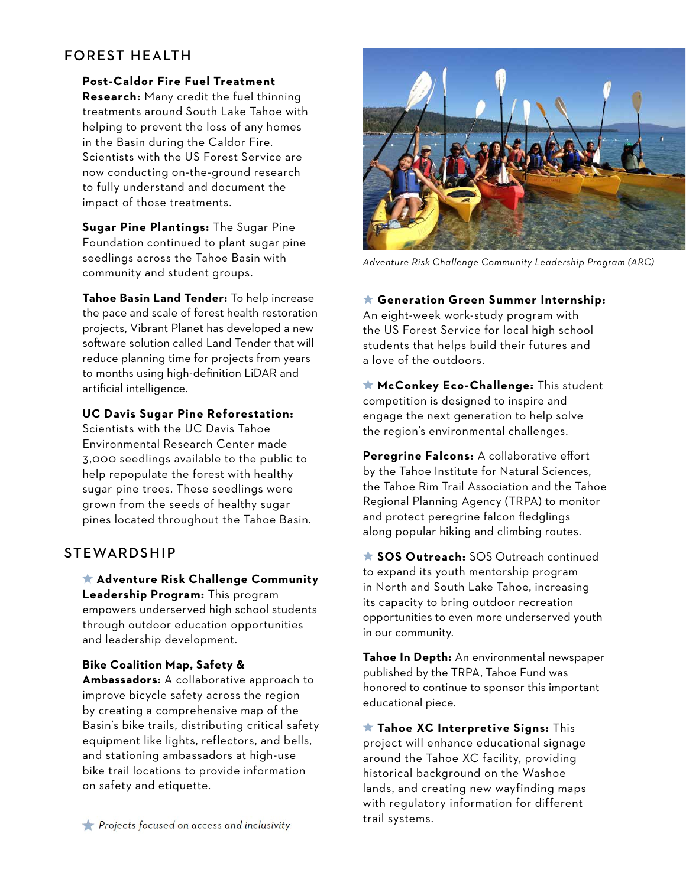# FOREST HEALTH

**Post-Caldor Fire Fuel Treatment** 

**Research:** Many credit the fuel thinning treatments around South Lake Tahoe with helping to prevent the loss of any homes in the Basin during the Caldor Fire. Scientists with the US Forest Service are now conducting on-the-ground research to fully understand and document the impact of those treatments.

**Sugar Pine Plantings:** The Sugar Pine Foundation continued to plant sugar pine seedlings across the Tahoe Basin with community and student groups.

**Tahoe Basin Land Tender:** To help increase the pace and scale of forest health restoration projects, Vibrant Planet has developed a new software solution called Land Tender that will reduce planning time for projects from years to months using high-definition LiDAR and artificial intelligence.

## **UC Davis Sugar Pine Reforestation:**

Scientists with the UC Davis Tahoe Environmental Research Center made 3,000 seedlings available to the public to help repopulate the forest with healthy sugar pine trees. These seedlings were grown from the seeds of healthy sugar pines located throughout the Tahoe Basin.

# STEWARDSHIP

 **Adventure Risk Challenge Community Leadership Program:** This program empowers underserved high school students through outdoor education opportunities and leadership development.

### **Bike Coalition Map, Safety &**

**Ambassadors:** A collaborative approach to improve bicycle safety across the region by creating a comprehensive map of the Basin's bike trails, distributing critical safety equipment like lights, reflectors, and bells, and stationing ambassadors at high-use bike trail locations to provide information on safety and etiquette.



*Adventure Risk Challenge Community Leadership Program (ARC)* 

 **Generation Green Summer Internship:** An eight-week work-study program with the US Forest Service for local high school students that helps build their futures and a love of the outdoors.

 **McConkey Eco-Challenge:** This student competition is designed to inspire and engage the next generation to help solve the region's environmental challenges.

**Peregrine Falcons:** A collaborative effort by the Tahoe Institute for Natural Sciences, the Tahoe Rim Trail Association and the Tahoe Regional Planning Agency (TRPA) to monitor and protect peregrine falcon fledglings along popular hiking and climbing routes.

 **SOS Outreach:** SOS Outreach continued to expand its youth mentorship program in North and South Lake Tahoe, increasing its capacity to bring outdoor recreation opportunities to even more underserved youth in our community.

**Tahoe In Depth:** An environmental newspaper published by the TRPA, Tahoe Fund was honored to continue to sponsor this important educational piece.

 **Tahoe XC Interpretive Signs:** This project will enhance educational signage around the Tahoe XC facility, providing historical background on the Washoe lands, and creating new wayfinding maps with regulatory information for different trail systems.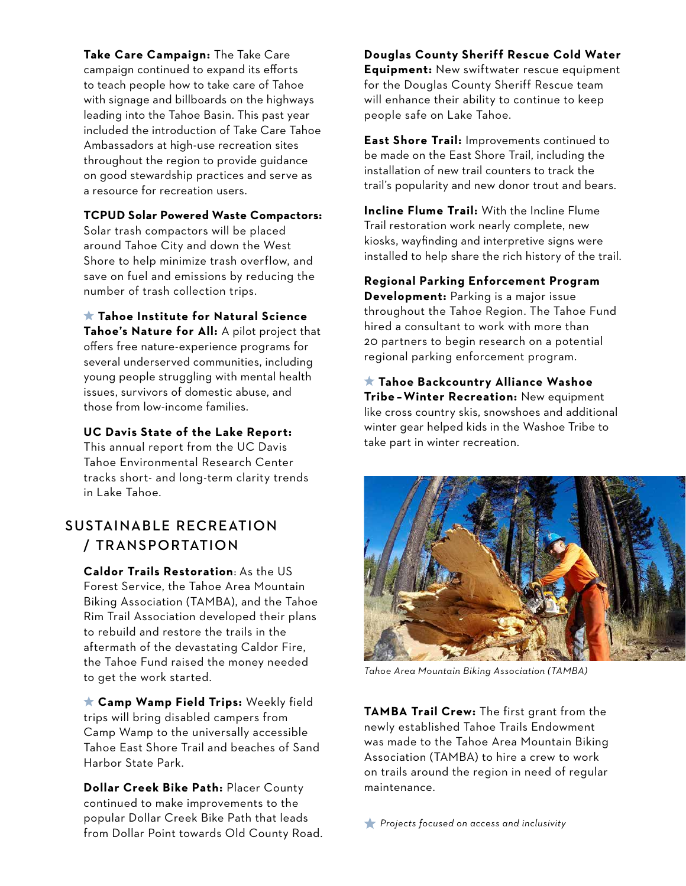**Take Care Campaign:** The Take Care campaign continued to expand its efforts to teach people how to take care of Tahoe with signage and billboards on the highways leading into the Tahoe Basin. This past year included the introduction of Take Care Tahoe Ambassadors at high-use recreation sites throughout the region to provide guidance on good stewardship practices and serve as a resource for recreation users.

#### **TCPUD Solar Powered Waste Compactors:**

Solar trash compactors will be placed around Tahoe City and down the West Shore to help minimize trash overflow, and save on fuel and emissions by reducing the number of trash collection trips.

 **Tahoe Institute for Natural Science Tahoe's Nature for All:** A pilot project that offers free nature-experience programs for several underserved communities, including young people struggling with mental health issues, survivors of domestic abuse, and those from low-income families.

**UC Davis State of the Lake Report:** 

This annual report from the UC Davis Tahoe Environmental Research Center tracks short- and long-term clarity trends in Lake Tahoe.

# SUSTAINABLE RECREATION / TRANSPORTATION

**Caldor Trails Restoration**: As the US Forest Service, the Tahoe Area Mountain Biking Association (TAMBA), and the Tahoe Rim Trail Association developed their plans to rebuild and restore the trails in the aftermath of the devastating Caldor Fire, the Tahoe Fund raised the money needed to get the work started.

 **Camp Wamp Field Trips:** Weekly field trips will bring disabled campers from Camp Wamp to the universally accessible Tahoe East Shore Trail and beaches of Sand Harbor State Park.

**Dollar Creek Bike Path:** Placer County continued to make improvements to the popular Dollar Creek Bike Path that leads from Dollar Point towards Old County Road. *Projects focused on access and inclusivity*

**Douglas County Sheriff Rescue Cold Water Equipment:** New swiftwater rescue equipment for the Douglas County Sheriff Rescue team will enhance their ability to continue to keep people safe on Lake Tahoe.

**East Shore Trail:** Improvements continued to be made on the East Shore Trail, including the installation of new trail counters to track the trail's popularity and new donor trout and bears.

**Incline Flume Trail:** With the Incline Flume Trail restoration work nearly complete, new kiosks, wayfinding and interpretive signs were installed to help share the rich history of the trail.

**Regional Parking Enforcement Program Development:** Parking is a major issue throughout the Tahoe Region. The Tahoe Fund hired a consultant to work with more than 20 partners to begin research on a potential regional parking enforcement program.

 **Tahoe Backcountry Alliance Washoe Tribe – Winter Recreation:** New equipment like cross country skis, snowshoes and additional winter gear helped kids in the Washoe Tribe to take part in winter recreation.



*Tahoe Area Mountain Biking Association (TAMBA)*

**TAMBA Trail Crew:** The first grant from the newly established Tahoe Trails Endowment was made to the Tahoe Area Mountain Biking Association (TAMBA) to hire a crew to work on trails around the region in need of regular maintenance.